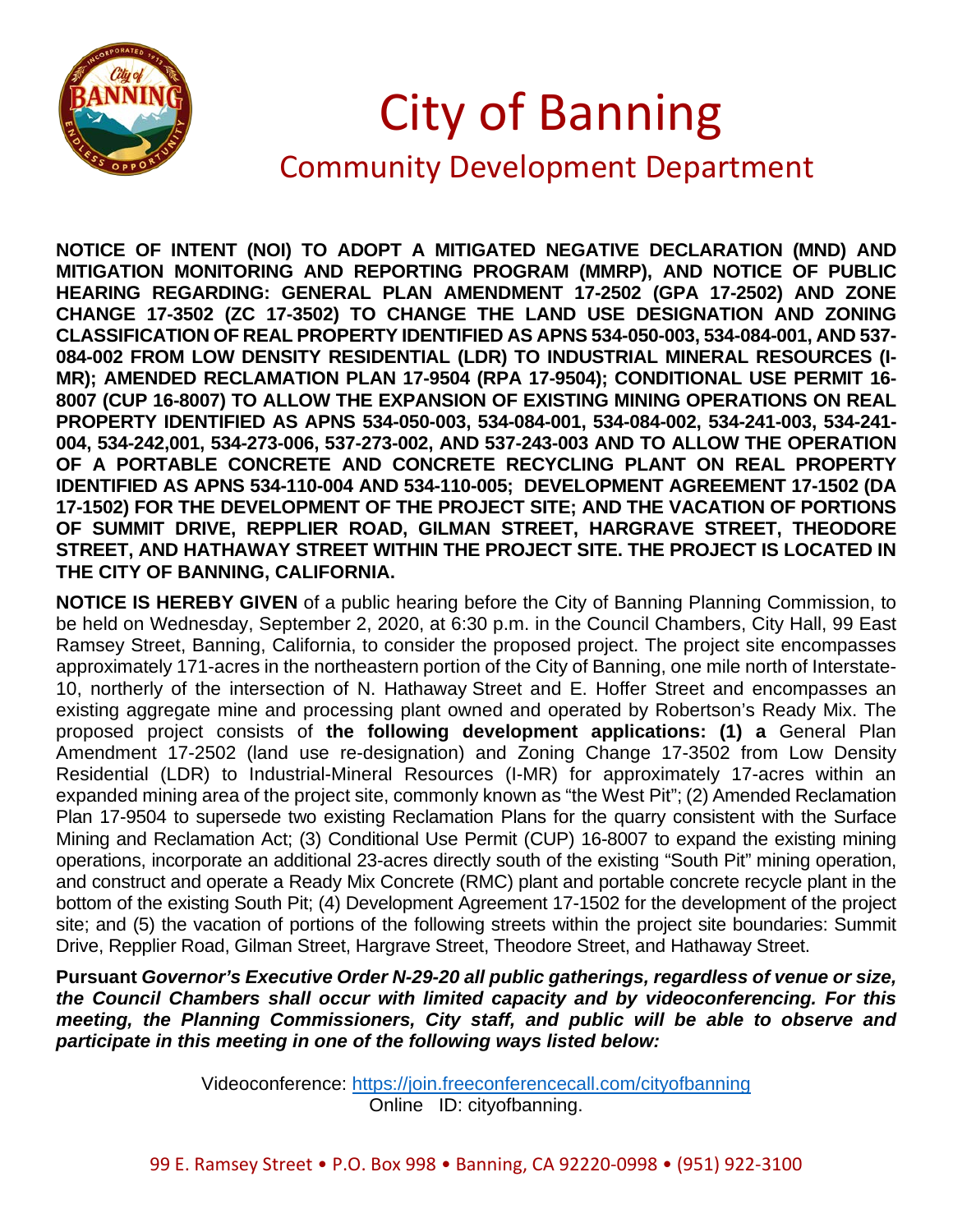

## City of Banning

## Community Development Department

**NOTICE OF INTENT (NOI) TO ADOPT A MITIGATED NEGATIVE DECLARATION (MND) AND MITIGATION MONITORING AND REPORTING PROGRAM (MMRP), AND NOTICE OF PUBLIC HEARING REGARDING: GENERAL PLAN AMENDMENT 17-2502 (GPA 17-2502) AND ZONE CHANGE 17-3502 (ZC 17-3502) TO CHANGE THE LAND USE DESIGNATION AND ZONING CLASSIFICATION OF REAL PROPERTY IDENTIFIED AS APNS 534-050-003, 534-084-001, AND 537- 084-002 FROM LOW DENSITY RESIDENTIAL (LDR) TO INDUSTRIAL MINERAL RESOURCES (I-MR); AMENDED RECLAMATION PLAN 17-9504 (RPA 17-9504); CONDITIONAL USE PERMIT 16- 8007 (CUP 16-8007) TO ALLOW THE EXPANSION OF EXISTING MINING OPERATIONS ON REAL PROPERTY IDENTIFIED AS APNS 534-050-003, 534-084-001, 534-084-002, 534-241-003, 534-241- 004, 534-242,001, 534-273-006, 537-273-002, AND 537-243-003 AND TO ALLOW THE OPERATION OF A PORTABLE CONCRETE AND CONCRETE RECYCLING PLANT ON REAL PROPERTY IDENTIFIED AS APNS 534-110-004 AND 534-110-005; DEVELOPMENT AGREEMENT 17-1502 (DA 17-1502) FOR THE DEVELOPMENT OF THE PROJECT SITE; AND THE VACATION OF PORTIONS OF SUMMIT DRIVE, REPPLIER ROAD, GILMAN STREET, HARGRAVE STREET, THEODORE STREET, AND HATHAWAY STREET WITHIN THE PROJECT SITE. THE PROJECT IS LOCATED IN THE CITY OF BANNING, CALIFORNIA.**

**NOTICE IS HEREBY GIVEN** of a public hearing before the City of Banning Planning Commission, to be held on Wednesday, September 2, 2020, at 6:30 p.m. in the Council Chambers, City Hall, 99 East Ramsey Street, Banning, California, to consider the proposed project. The project site encompasses approximately 171-acres in the northeastern portion of the City of Banning, one mile north of Interstate-10, northerly of the intersection of N. Hathaway Street and E. Hoffer Street and encompasses an existing aggregate mine and processing plant owned and operated by Robertson's Ready Mix. The proposed project consists of **the following development applications: (1) a** General Plan Amendment 17-2502 (land use re-designation) and Zoning Change 17-3502 from Low Density Residential (LDR) to Industrial-Mineral Resources (I-MR) for approximately 17-acres within an expanded mining area of the project site, commonly known as "the West Pit"; (2) Amended Reclamation Plan 17-9504 to supersede two existing Reclamation Plans for the quarry consistent with the Surface Mining and Reclamation Act; (3) Conditional Use Permit (CUP) 16-8007 to expand the existing mining operations, incorporate an additional 23-acres directly south of the existing "South Pit" mining operation, and construct and operate a Ready Mix Concrete (RMC) plant and portable concrete recycle plant in the bottom of the existing South Pit; (4) Development Agreement 17-1502 for the development of the project site; and (5) the vacation of portions of the following streets within the project site boundaries: Summit Drive, Repplier Road, Gilman Street, Hargrave Street, Theodore Street, and Hathaway Street.

**Pursuant** *Governor's Executive Order N-29-20 all public gatherings, regardless of venue or size, the Council Chambers shall occur with limited capacity and by videoconferencing. For this meeting, the Planning Commissioners, City staff, and public will be able to observe and participate in this meeting in one of the following ways listed below:*

> Videoconference:<https://join.freeconferencecall.com/cityofbanning> Online ID: cityofbanning.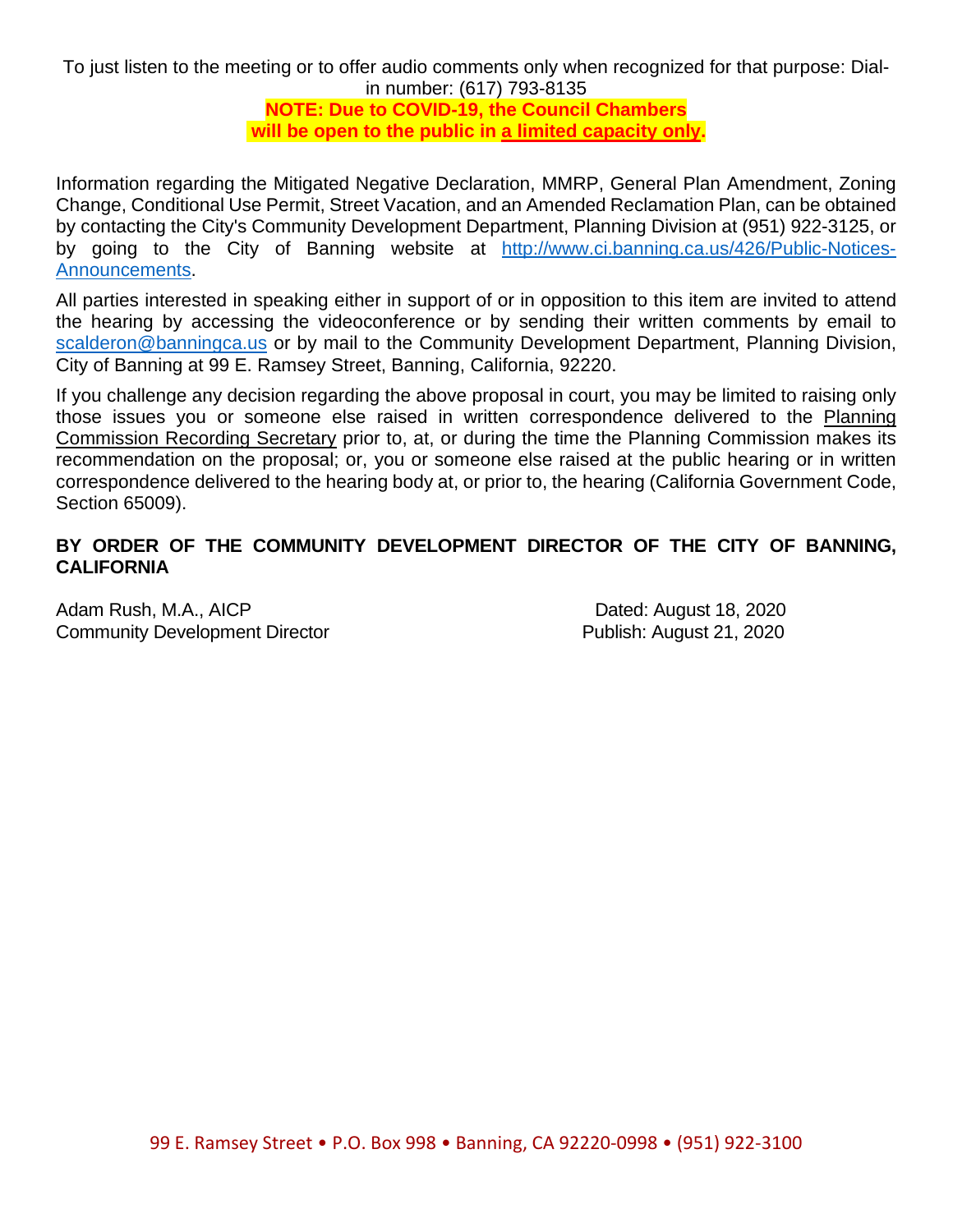To just listen to the meeting or to offer audio comments only when recognized for that purpose: Dialin number: (617) 793-8135

**NOTE: Due to COVID-19, the Council Chambers will be open to the public in a limited capacity only.**

Information regarding the Mitigated Negative Declaration, MMRP, General Plan Amendment, Zoning Change, Conditional Use Permit, Street Vacation, and an Amended Reclamation Plan, can be obtained by contacting the City's Community Development Department, Planning Division at (951) 922-3125, or by going to the City of Banning website at [http://www.ci.banning.ca.us/426/Public-Notices-](http://www.ci.banning.ca.us/426/Public-Notices-Announcements)[Announcements.](http://www.ci.banning.ca.us/426/Public-Notices-Announcements)

All parties interested in speaking either in support of or in opposition to this item are invited to attend the hearing by accessing the videoconference or by sending their written comments by email to [scalderon@banningca.us](mailto:scalderon@banningca.us) or by mail to the Community Development Department, Planning Division, City of Banning at 99 E. Ramsey Street, Banning, California, 92220.

If you challenge any decision regarding the above proposal in court, you may be limited to raising only those issues you or someone else raised in written correspondence delivered to the Planning Commission Recording Secretary prior to, at, or during the time the Planning Commission makes its recommendation on the proposal; or, you or someone else raised at the public hearing or in written correspondence delivered to the hearing body at, or prior to, the hearing (California Government Code, Section 65009).

## **BY ORDER OF THE COMMUNITY DEVELOPMENT DIRECTOR OF THE CITY OF BANNING, CALIFORNIA**

Adam Rush, M.A., AICP **Dated:** August 18, 2020 Community Development Director **Publish: August 21, 2020**